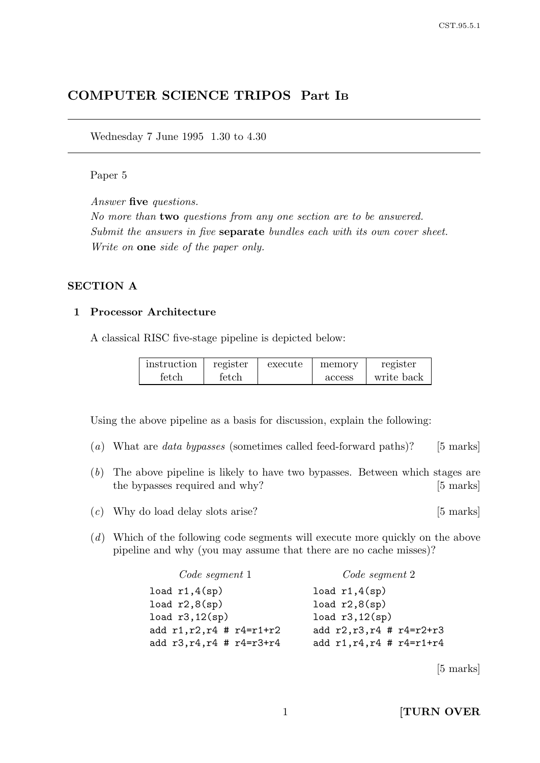# COMPUTER SCIENCE TRIPOS Part I<sup>B</sup>

Wednesday 7 June 1995 1.30 to 4.30

#### Paper 5

Answer five questions.

No more than two questions from any one section are to be answered. Submit the answers in five **separate** bundles each with its own cover sheet. Write on one side of the paper only.

### SECTION A

#### 1 Processor Architecture

A classical RISC five-stage pipeline is depicted below:

| instruction    | register               | execute | memory | register   |
|----------------|------------------------|---------|--------|------------|
| $_{\rm fetch}$ | $\operatorname{fetch}$ |         | access | write back |

Using the above pipeline as a basis for discussion, explain the following:

- (a) What are *data bypasses* (sometimes called feed-forward paths)? [5 marks]
- (b) The above pipeline is likely to have two bypasses. Between which stages are the bypasses required and why? [5 marks]
- $(c)$  Why do load delay slots arise? [5 marks]
- (d) Which of the following code segments will execute more quickly on the above pipeline and why (you may assume that there are no cache misses)?

| Code segment 1                | Code segment 2                |
|-------------------------------|-------------------------------|
| load $r1,4(sp)$               | load $r1,4(sp)$               |
| load r2,8(sp)                 | load $r2,8(sp)$               |
| load r3,12(sp)                | load $r3,12(sp)$              |
| add $r1, r2, r4$ # $r4=r1+r2$ | add $r2, r3, r4$ # $r4=r2+r3$ |
| add $r3, r4, r4 # r4=r3+r4$   | add $r1, r4, r4$ # $r4=r1+r4$ |
|                               |                               |

[5 marks]

1 **[TURN OVER**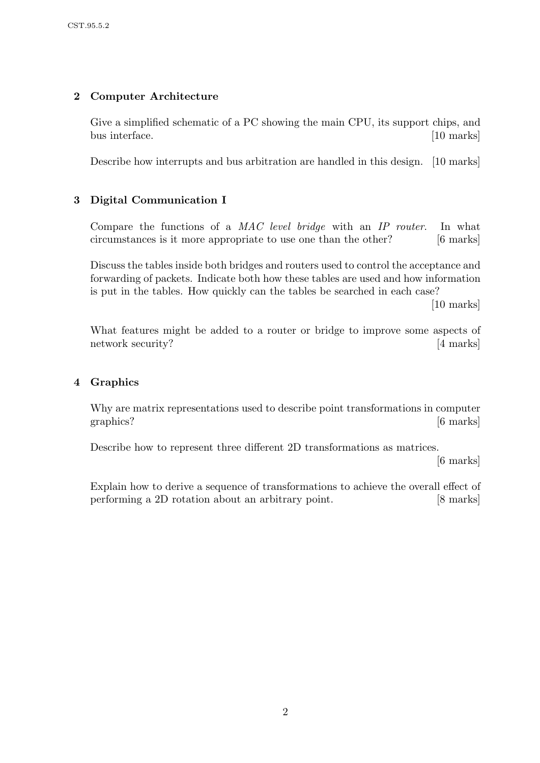## 2 Computer Architecture

Give a simplified schematic of a PC showing the main CPU, its support chips, and bus interface. [10 marks]

Describe how interrupts and bus arbitration are handled in this design. [10 marks]

## 3 Digital Communication I

Compare the functions of a MAC level bridge with an IP router. In what circumstances is it more appropriate to use one than the other? [6 marks]

Discuss the tables inside both bridges and routers used to control the acceptance and forwarding of packets. Indicate both how these tables are used and how information is put in the tables. How quickly can the tables be searched in each case?

[10 marks]

What features might be added to a router or bridge to improve some aspects of network security? [4 marks]

### 4 Graphics

Why are matrix representations used to describe point transformations in computer graphics? [6 marks]

Describe how to represent three different 2D transformations as matrices.

[6 marks]

Explain how to derive a sequence of transformations to achieve the overall effect of performing a 2D rotation about an arbitrary point. [8 marks]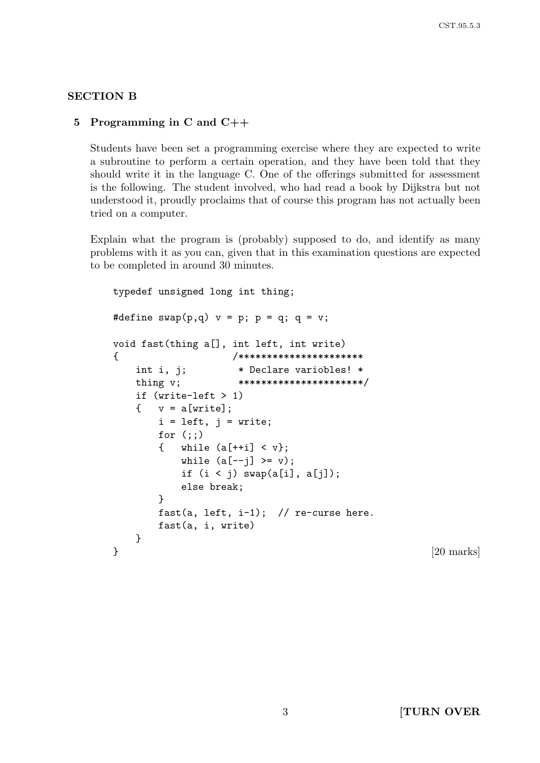### SECTION B

### 5 Programming in C and C++

Students have been set a programming exercise where they are expected to write a subroutine to perform a certain operation, and they have been told that they should write it in the language C. One of the offerings submitted for assessment is the following. The student involved, who had read a book by Dijkstra but not understood it, proudly proclaims that of course this program has not actually been tried on a computer.

Explain what the program is (probably) supposed to do, and identify as many problems with it as you can, given that in this examination questions are expected to be completed in around 30 minutes.

```
typedef unsigned long int thing;
#define swap(p,q) v = p; p = q; q = v;
void fast(thing a[], int left, int write)
{<br>/**********************
   int i, j; * Declare variobles! *
   thing v; ***********************/
   if (write-left > 1)
   \{ v = a[write] ;i = left, j = write;for (;;)
      { while (a [++i] < v};
          while (a[--j] \geq v);
          if (i < j) swap(a[i], a[j]);
          else break;
      }
      fast(a, left, i-1); // re-curse here.
      fast(a, i, write)
   }
} [20 marks]
```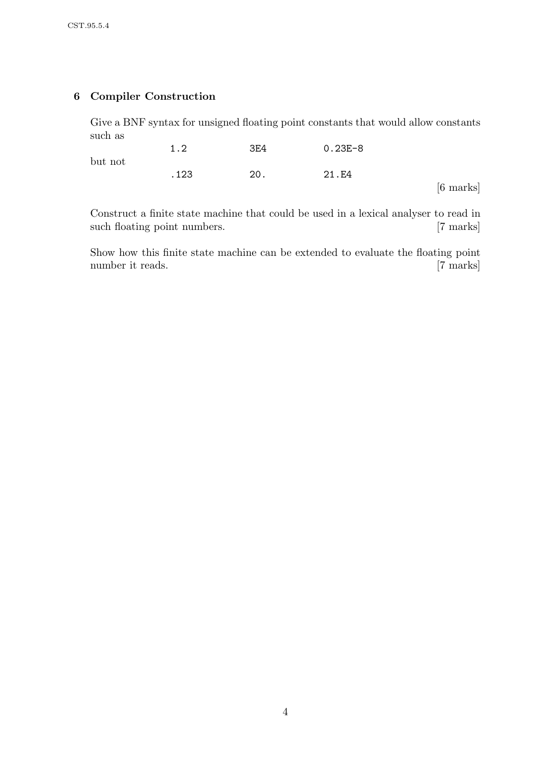## 6 Compiler Construction

Give a BNF syntax for unsigned floating point constants that would allow constants such as

|         | 1.2   | 3E4 | $0.23E - 8$ |                     |
|---------|-------|-----|-------------|---------------------|
| but not |       |     |             |                     |
|         | . 123 | 20. | 21.E4       |                     |
|         |       |     |             | $[6 \text{ marks}]$ |

Construct a finite state machine that could be used in a lexical analyser to read in such floating point numbers. [7 marks]

Show how this finite state machine can be extended to evaluate the floating point number it reads. [7 marks]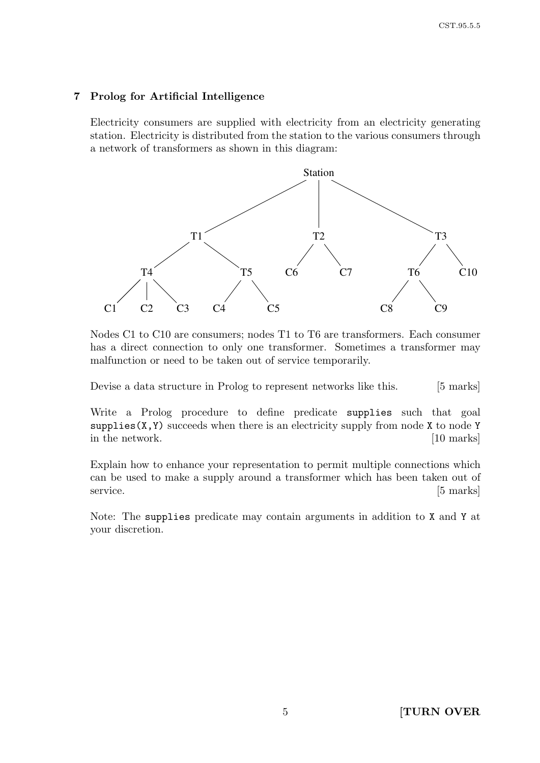### 7 Prolog for Artificial Intelligence

Electricity consumers are supplied with electricity from an electricity generating station. Electricity is distributed from the station to the various consumers through a network of transformers as shown in this diagram:



Nodes C1 to C10 are consumers; nodes T1 to T6 are transformers. Each consumer has a direct connection to only one transformer. Sometimes a transformer may malfunction or need to be taken out of service temporarily.

Devise a data structure in Prolog to represent networks like this. [5 marks]

Write a Prolog procedure to define predicate supplies such that goal supplies  $(X, Y)$  succeeds when there is an electricity supply from node X to node Y in the network. [10 marks]

Explain how to enhance your representation to permit multiple connections which can be used to make a supply around a transformer which has been taken out of service. [5 marks]

Note: The supplies predicate may contain arguments in addition to X and Y at your discretion.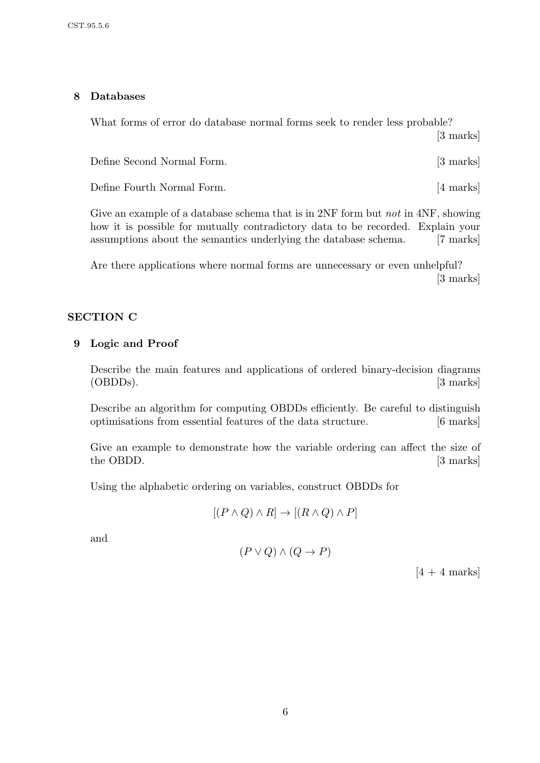### 8 Databases

What forms of error do database normal forms seek to render less probable? [3 marks]

| Define Second Normal Form. | $\left[3 \text{ marks}\right]$ |
|----------------------------|--------------------------------|
| Define Fourth Normal Form. | [4 marks]                      |

Give an example of a database schema that is in 2NF form but *not* in 4NF, showing how it is possible for mutually contradictory data to be recorded. Explain your assumptions about the semantics underlying the database schema. [7 marks]

Are there applications where normal forms are unnecessary or even unhelpful? [3 marks]

### SECTION C

### 9 Logic and Proof

Describe the main features and applications of ordered binary-decision diagrams (OBDDs). [3 marks]

Describe an algorithm for computing OBDDs efficiently. Be careful to distinguish optimisations from essential features of the data structure. [6 marks]

Give an example to demonstrate how the variable ordering can affect the size of the OBDD. [3 marks]

Using the alphabetic ordering on variables, construct OBDDs for

$$
[(P \land Q) \land R] \to [(R \land Q) \land P]
$$

and

$$
(P \lor Q) \land (Q \to P)
$$

 $[4 + 4$  marks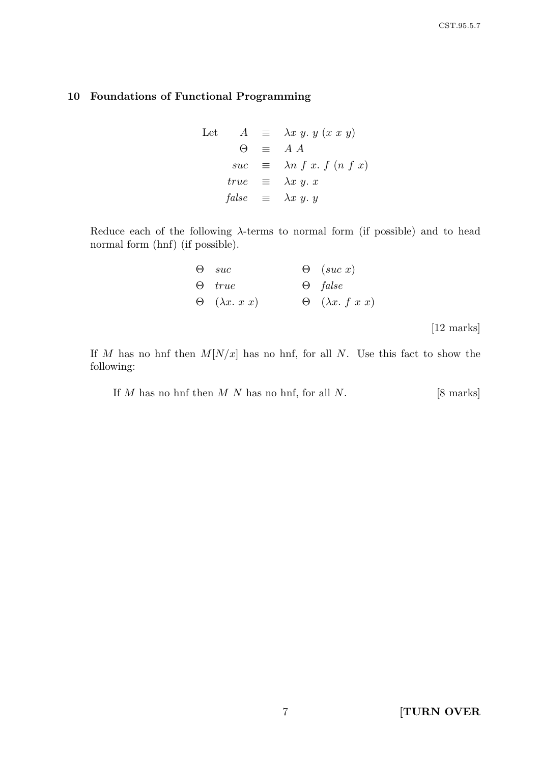### 10 Foundations of Functional Programming

Let 
$$
A \equiv \lambda x \ y. \ y \ (x \ x \ y)
$$
  
\n $\Theta \equiv A \ A$   
\n $\text{succ} \equiv \lambda n \ f \ x. \ f \ (n \ f \ x)$   
\n $\text{true} \equiv \lambda x \ y. \ x$   
\n $\text{false} \equiv \lambda x \ y. \ y$ 

Reduce each of the following  $\lambda$ -terms to normal form (if possible) and to head normal form (hnf) (if possible).

| $\Theta$ suc                | $\Theta$ (suc x)              |
|-----------------------------|-------------------------------|
| $\Theta$ true               | $\Theta$ false                |
| $\Theta$ $(\lambda x. x x)$ | $\Theta$ $(\lambda x. f x x)$ |
|                             |                               |

[12 marks]

If M has no hnf then  $M[N/x]$  has no hnf, for all N. Use this fact to show the following:

If  $M$  has no hnf then  $M$   $N$  has no hnf, for all  $N$ . [8 marks]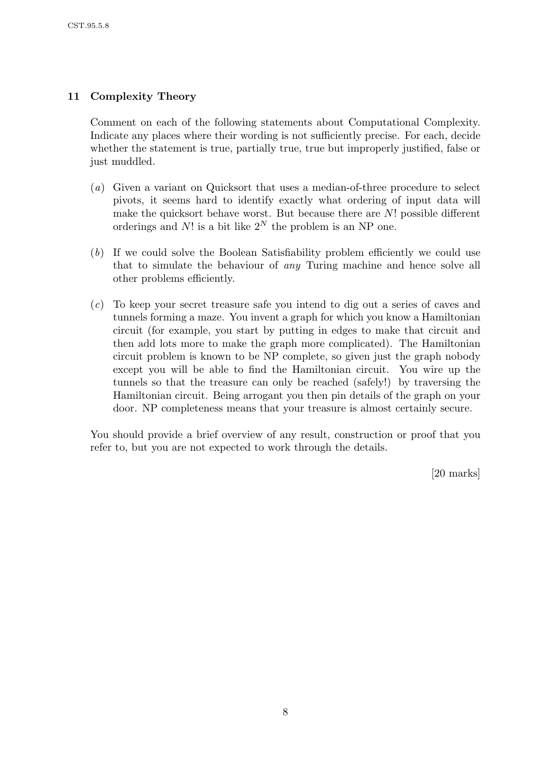### 11 Complexity Theory

Comment on each of the following statements about Computational Complexity. Indicate any places where their wording is not sufficiently precise. For each, decide whether the statement is true, partially true, true but improperly justified, false or just muddled.

- (a) Given a variant on Quicksort that uses a median-of-three procedure to select pivots, it seems hard to identify exactly what ordering of input data will make the quicksort behave worst. But because there are  $N!$  possible different orderings and N! is a bit like  $2^N$  the problem is an NP one.
- (b) If we could solve the Boolean Satisfiability problem efficiently we could use that to simulate the behaviour of any Turing machine and hence solve all other problems efficiently.
- (c) To keep your secret treasure safe you intend to dig out a series of caves and tunnels forming a maze. You invent a graph for which you know a Hamiltonian circuit (for example, you start by putting in edges to make that circuit and then add lots more to make the graph more complicated). The Hamiltonian circuit problem is known to be NP complete, so given just the graph nobody except you will be able to find the Hamiltonian circuit. You wire up the tunnels so that the treasure can only be reached (safely!) by traversing the Hamiltonian circuit. Being arrogant you then pin details of the graph on your door. NP completeness means that your treasure is almost certainly secure.

You should provide a brief overview of any result, construction or proof that you refer to, but you are not expected to work through the details.

[20 marks]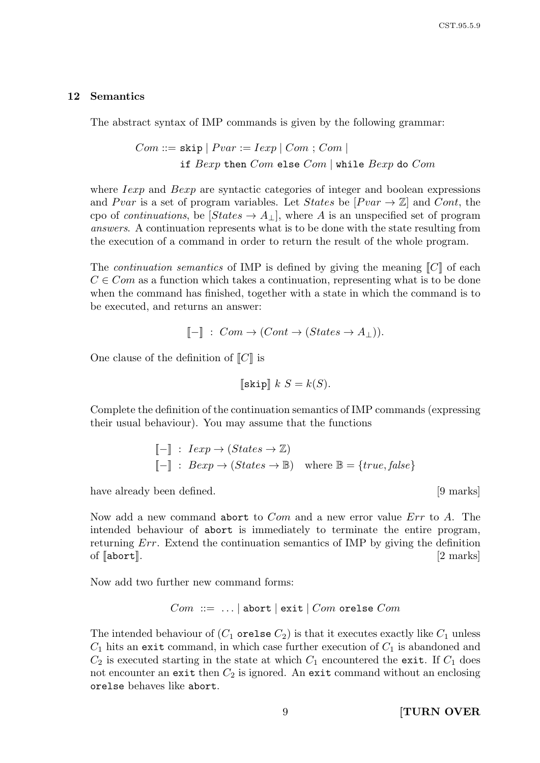#### 12 Semantics

The abstract syntax of IMP commands is given by the following grammar:

 $Com ::=$  skip  $| \; Pvar := Iexp | \; Com ; Com |$ if  $Bexp$  then  $Com$  else  $Com$  | while  $Bexp$  do  $Com$ 

where *Iexp* and *Bexp* are syntactic categories of integer and boolean expressions and Pvar is a set of program variables. Let States be  $[Pvar \rightarrow \mathbb{Z}]$  and Cont, the cpo of *continuations*, be  $[States \rightarrow A_{\perp}]$ , where A is an unspecified set of program answers. A continuation represents what is to be done with the state resulting from the execution of a command in order to return the result of the whole program.

The *continuation semantics* of IMP is defined by giving the meaning  $\llbracket C \rrbracket$  of each  $C \in Com$  as a function which takes a continuation, representing what is to be done when the command has finished, together with a state in which the command is to be executed, and returns an answer:

$$
[\![-]\!]
$$
:  $Com \to (Cont \to (States \to A_\bot)).$ 

One clause of the definition of  $||C||$  is

$$
\llbracket \texttt{skip} \rrbracket \ k \ S = k(S).
$$

Complete the definition of the continuation semantics of IMP commands (expressing their usual behaviour). You may assume that the functions

$$
\begin{aligned}\n\llbracket - \rrbracket & \colon \text{ } \text{I} \exp \to (\text{States} \to \mathbb{Z}) \\
\llbracket - \rrbracket & \colon \text{ } \text{B} \exp \to (\text{States} \to \mathbb{B}) \quad \text{where } \mathbb{B} = \{\text{true}, \text{false}\}\n\end{aligned}
$$

have already been defined.  $[9 \text{ marks}]$ 

Now add a new command abort to *Com* and a new error value *Err* to A. The intended behaviour of abort is immediately to terminate the entire program, returning Err. Extend the continuation semantics of IMP by giving the definition of  $\lceil \text{abort} \rceil$ .  $\lceil 2 \text{ marks} \rceil$ 

Now add two further new command forms:

$$
Com ::= ... | abort | exit | Com or else Com
$$

The intended behaviour of  $(C_1$  orelse  $C_2$ ) is that it executes exactly like  $C_1$  unless  $C_1$  hits an exit command, in which case further execution of  $C_1$  is abandoned and  $C_2$  is executed starting in the state at which  $C_1$  encountered the exit. If  $C_1$  does not encounter an exit then  $C_2$  is ignored. An exit command without an enclosing orelse behaves like abort.